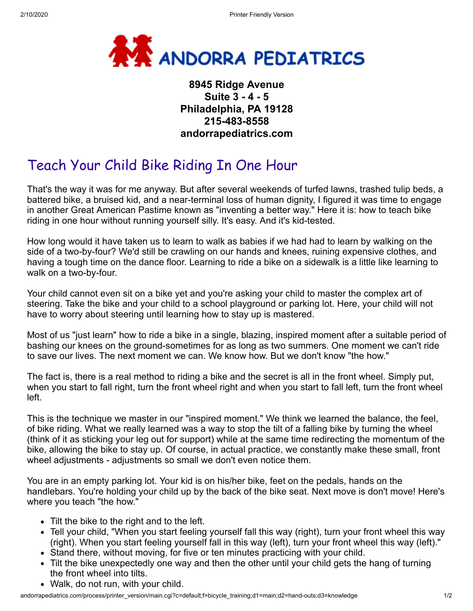

## **8945 Ridge Avenue Suite 3 - 4 - 5 Philadelphia, PA 19128 215-483-8558 andorrapediatrics.com**

## Teach Your Child Bike Riding In One Hour

That's the way it was for me anyway. But after several weekends of turfed lawns, trashed tulip beds, a battered bike, a bruised kid, and a near-terminal loss of human dignity, I figured it was time to engage in another Great American Pastime known as "inventing a better way." Here it is: how to teach bike riding in one hour without running yourself silly. It's easy. And it's kid-tested.

How long would it have taken us to learn to walk as babies if we had had to learn by walking on the side of a two-by-four? We'd still be crawling on our hands and knees, ruining expensive clothes, and having a tough time on the dance floor. Learning to ride a bike on a sidewalk is a little like learning to walk on a two-by-four.

Your child cannot even sit on a bike yet and you're asking your child to master the complex art of steering. Take the bike and your child to a school playground or parking lot. Here, your child will not have to worry about steering until learning how to stay up is mastered.

Most of us "just learn" how to ride a bike in a single, blazing, inspired moment after a suitable period of bashing our knees on the ground-sometimes for as long as two summers. One moment we can't ride to save our lives. The next moment we can. We know how. But we don't know "the how."

The fact is, there is a real method to riding a bike and the secret is all in the front wheel. Simply put, when you start to fall right, turn the front wheel right and when you start to fall left, turn the front wheel left.

This is the technique we master in our "inspired moment." We think we learned the balance, the feel, of bike riding. What we really learned was a way to stop the tilt of a falling bike by turning the wheel (think of it as sticking your leg out for support) while at the same time redirecting the momentum of the bike, allowing the bike to stay up. Of course, in actual practice, we constantly make these small, front wheel adjustments - adjustments so small we don't even notice them.

You are in an empty parking lot. Your kid is on his/her bike, feet on the pedals, hands on the handlebars. You're holding your child up by the back of the bike seat. Next move is don't move! Here's where you teach "the how."

- Tilt the bike to the right and to the left.
- Tell your child, "When you start feeling yourself fall this way (right), turn your front wheel this way (right). When you start feeling yourself fall in this way (left), turn your front wheel this way (left)."
- Stand there, without moving, for five or ten minutes practicing with your child.
- Tilt the bike unexpectedly one way and then the other until your child gets the hang of turning the front wheel into tilts.
- Walk, do not run, with your child.